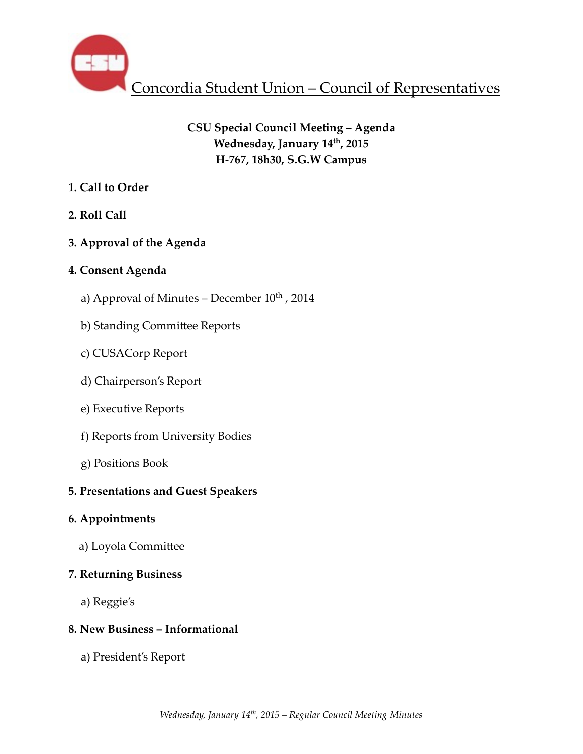

# **CSU Special Council Meeting – Agenda** Wednesday, January 14<sup>th</sup>, 2015 **H-767, 18h30, S.G.W Campus**

## **1. Call to Order**

# **2. Roll Call**

# **3. Approval of the Agenda**

## **4. Consent Agenda**

- a) Approval of Minutes December  $10^{th}$ , 2014
- b) Standing Committee Reports
- c) CUSACorp Report
- d) Chairperson's Report
- e) Executive Reports
- f) Reports from University Bodies
- g) Positions Book

# **5. Presentations and Guest Speakers**

# **6. Appointments**

a) Loyola Committee

# **7. Returning Business**

a) Reggie's

# **8. New Business – Informational**

a) President's Report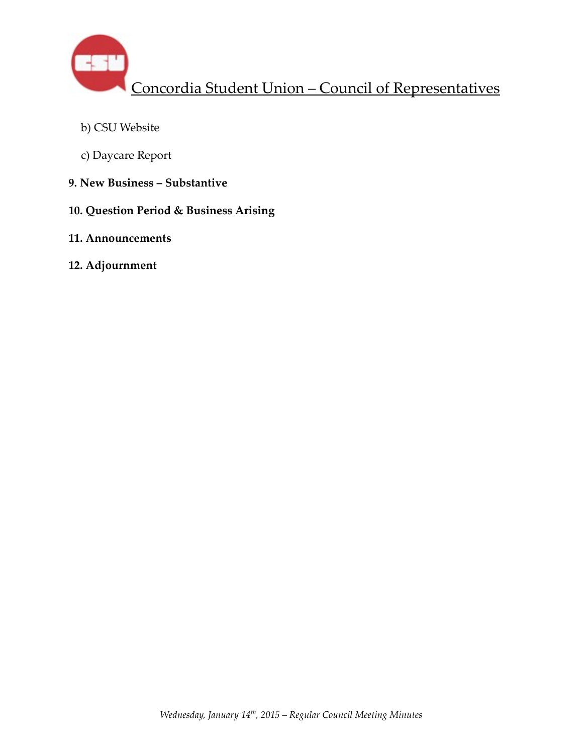

- b) CSU Website
- c) Daycare Report
- **9. New Business Substantive**
- **10. Question Period & Business Arising**
- **11. Announcements**
- **12. Adjournment**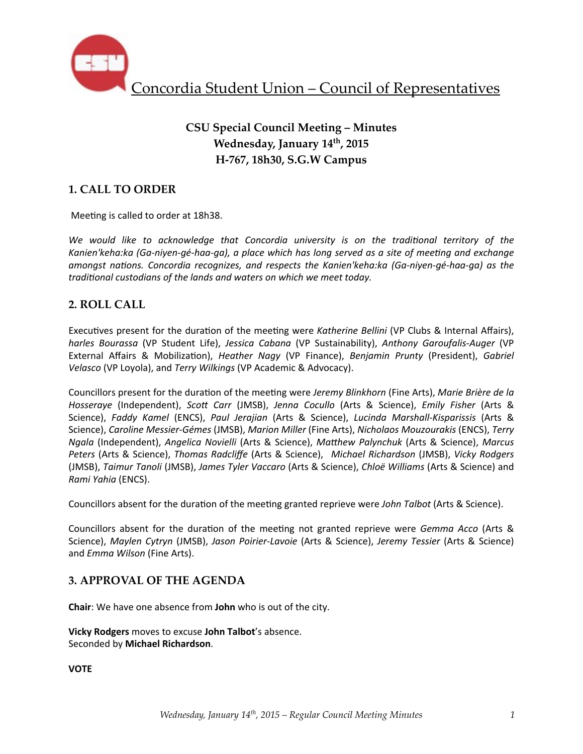

# **CSU Special Council Meeting – Minutes Wednesday, January 14th, 2015 H-767, 18h30, S.G.W Campus**

## **1. CALL TO ORDER**

Meeting is called to order at 18h38.

We would like to acknowledge that Concordia university is on the traditional territory of the Kanien'keha:ka (Ga-niyen-gé-haa-qa), a place which has long served as a site of meeting and exchange *amongst nations. Concordia recognizes, and respects the Kanien'keha:ka (Ga-niyen-gé-haa-ga)* as the *traditional custodians of the lands and waters on which we meet today.* 

## **2. ROLL CALL**

Executives present for the duration of the meeting were *Katherine Bellini* (VP Clubs & Internal Affairs), *harles Bourassa* (VP Student Life), *Jessica Cabana* (VP Sustainability), Anthony Garoufalis-Auger (VP External Affairs & Mobilization), *Heather Nagy* (VP Finance), *Benjamin Prunty* (President), *Gabriel Velasco* (VP Loyola), and *Terry Wilkings* (VP Academic & Advocacy).

Councillors present for the duration of the meeting were Jeremy Blinkhorn (Fine Arts), Marie Brière de la *Hosseraye* (Independent), *Scott Carr* (JMSB), *Jenna Cocullo* (Arts & Science), *Emily Fisher* (Arts & Science), Faddy Kamel (ENCS), Paul Jerajian (Arts & Science), Lucinda Marshall-Kisparissis (Arts & Science), *Caroline Messier-Gémes* (JMSB), *Marion Miller* (Fine Arts), *Nicholaos Mouzourakis* (ENCS), *Terry Ngala* (Independent), *Angelica Novielli* (Arts & Science), *Matthew Palynchuk* (Arts & Science), *Marcus Peters* (Arts & Science), *Thomas Radcliffe* (Arts & Science), *Michael Richardson* (JMSB), *Vicky Rodgers*  (JMSB), *Taimur Tanoli* (JMSB), *James Tyler Vaccaro* (Arts & Science), *Chloë Williams* (Arts & Science) and *Rami Yahia* (ENCS).

Councillors absent for the duration of the meeting granted reprieve were *John Talbot* (Arts & Science).

Councillors absent for the duration of the meeting not granted reprieve were *Gemma Acco* (Arts & Science), *Maylen Cytryn* (JMSB), *Jason Poirier-Lavoie* (Arts & Science), *Jeremy Tessier* (Arts & Science) and *Emma Wilson* (Fine Arts).

## **3. APPROVAL OF THE AGENDA**

**Chair**: We have one absence from **John** who is out of the city.

**Vicky Rodgers** moves to excuse John Talbot's absence. Seconded by **Michael Richardson**.

**VOTE**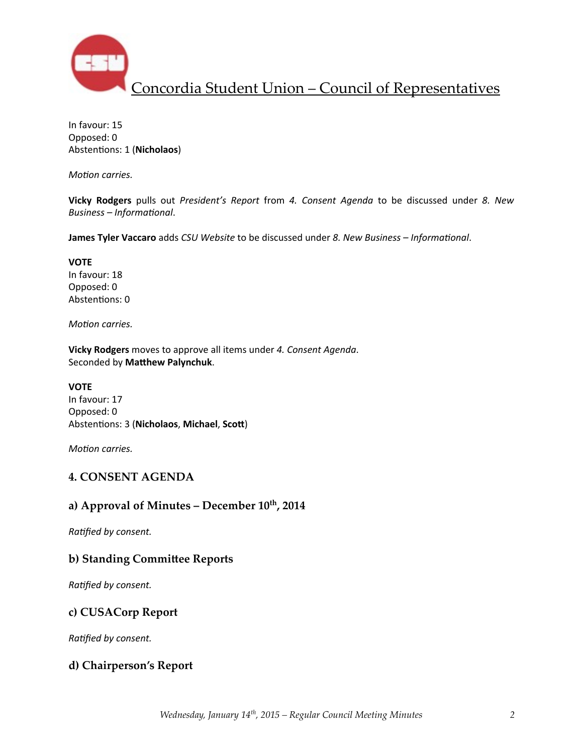

In favour: 15 Opposed: 0 Abstentions: 1 (Nicholaos)

*Motion carries.* 

**Vicky Rodgers** pulls out *President's Report* from 4. Consent Agenda to be discussed under 8. New *Business* – *Informational*.

**James Tyler Vaccaro** adds *CSU Website* to be discussed under *8. New Business* – *Informational.* 

**VOTE** In favour: 18 Opposed: 0 Abstentions: 0

*Motion carries.* 

**Vicky Rodgers** moves to approve all items under 4. Consent Agenda. Seconded by Matthew Palynchuk.

#### **VOTE**

In favour: 17 Opposed: 0 Abstentions: 3 (Nicholaos, Michael, Scott)

*Motion carries.* 

## **4. CONSENT AGENDA**

#### a) Approval of Minutes – December  $10^{th}$ , 2014

**Ratified by consent.** 

#### **b) Standing Committee Reports**

**Ratified by consent.** 

## **c) CUSACorp Report**

**Ratified by consent.** 

#### **d) Chairperson's Report**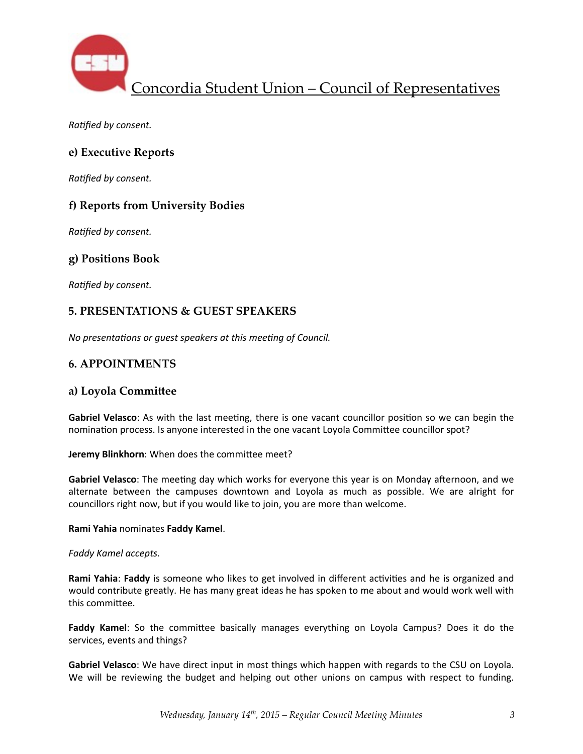

**Ratified by consent.** 

## **e) Executive Reports**

*Ratified by consent.* 

## **f) Reports from University Bodies**

**Ratified by consent.** 

## **g) Positions Book**

**Ratified by consent.** 

### **5. PRESENTATIONS & GUEST SPEAKERS**

*No presentations or quest speakers at this meeting of Council.* 

### **6. APPOINTMENTS**

#### **a) Loyola Commi\_ee**

**Gabriel Velasco**: As with the last meeting, there is one vacant councillor position so we can begin the nomination process. Is anyone interested in the one vacant Loyola Committee councillor spot?

**Jeremy Blinkhorn:** When does the committee meet?

Gabriel Velasco: The meeting day which works for everyone this year is on Monday afternoon, and we alternate between the campuses downtown and Loyola as much as possible. We are alright for councillors right now, but if you would like to join, you are more than welcome.

#### **Rami Yahia** nominates **Faddy Kamel**.

#### *Faddy Kamel accepts.*

**Rami Yahia: Faddy** is someone who likes to get involved in different activities and he is organized and would contribute greatly. He has many great ideas he has spoken to me about and would work well with this committee.

Faddy Kamel: So the committee basically manages everything on Loyola Campus? Does it do the services, events and things?

Gabriel Velasco: We have direct input in most things which happen with regards to the CSU on Loyola. We will be reviewing the budget and helping out other unions on campus with respect to funding.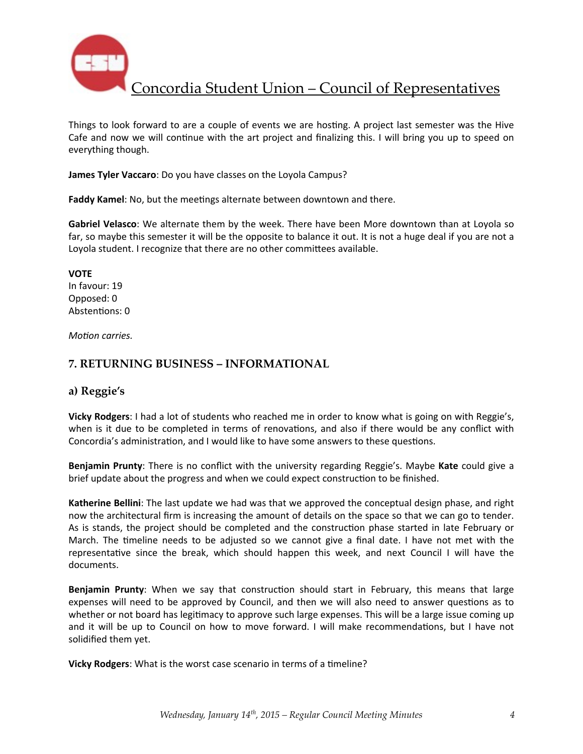

Things to look forward to are a couple of events we are hosting. A project last semester was the Hive Cafe and now we will continue with the art project and finalizing this. I will bring you up to speed on everything though.

**James Tyler Vaccaro**: Do you have classes on the Loyola Campus?

**Faddy Kamel:** No, but the meetings alternate between downtown and there.

Gabriel Velasco: We alternate them by the week. There have been More downtown than at Loyola so far, so maybe this semester it will be the opposite to balance it out. It is not a huge deal if you are not a Loyola student. I recognize that there are no other committees available.

**VOTE** In favour: 19 Opposed: 0 Abstentions: 0

*Motion carries.* 

## **7. RETURNING BUSINESS – INFORMATIONAL**

## **a) Reggie's**

**Vicky Rodgers**: I had a lot of students who reached me in order to know what is going on with Reggie's, when is it due to be completed in terms of renovations, and also if there would be any conflict with Concordia's administration, and I would like to have some answers to these questions.

**Benjamin Prunty**: There is no conflict with the university regarding Reggie's. Maybe Kate could give a brief update about the progress and when we could expect construction to be finished.

**Katherine Bellini**: The last update we had was that we approved the conceptual design phase, and right now the architectural firm is increasing the amount of details on the space so that we can go to tender. As is stands, the project should be completed and the construction phase started in late February or March. The timeline needs to be adjusted so we cannot give a final date. I have not met with the representative since the break, which should happen this week, and next Council I will have the documents.

**Benjamin Prunty**: When we say that construction should start in February, this means that large expenses will need to be approved by Council, and then we will also need to answer questions as to whether or not board has legitimacy to approve such large expenses. This will be a large issue coming up and it will be up to Council on how to move forward. I will make recommendations, but I have not solidified them yet.

**Vicky Rodgers:** What is the worst case scenario in terms of a timeline?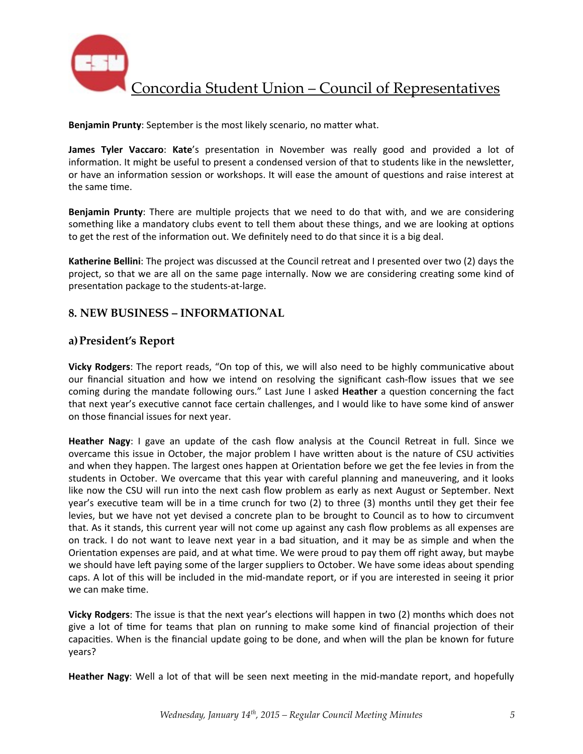

**Benjamin Prunty**: September is the most likely scenario, no matter what.

**James Tyler Vaccaro: Kate's** presentation in November was really good and provided a lot of information. It might be useful to present a condensed version of that to students like in the newsletter, or have an information session or workshops. It will ease the amount of questions and raise interest at the same time.

**Benjamin Prunty**: There are multiple projects that we need to do that with, and we are considering something like a mandatory clubs event to tell them about these things, and we are looking at options to get the rest of the information out. We definitely need to do that since it is a big deal.

**Katherine Bellini**: The project was discussed at the Council retreat and I presented over two (2) days the project, so that we are all on the same page internally. Now we are considering creating some kind of presentation package to the students-at-large.

### **8. NEW BUSINESS – INFORMATIONAL**

### **a)President's Report**

**Vicky Rodgers**: The report reads, "On top of this, we will also need to be highly communicative about our financial situation and how we intend on resolving the significant cash-flow issues that we see coming during the mandate following ours." Last June I asked **Heather** a question concerning the fact that next year's executive cannot face certain challenges, and I would like to have some kind of answer on those financial issues for next year.

**Heather Nagy**: I gave an update of the cash flow analysis at the Council Retreat in full. Since we overcame this issue in October, the major problem I have written about is the nature of CSU activities and when they happen. The largest ones happen at Orientation before we get the fee levies in from the students in October. We overcame that this year with careful planning and maneuvering, and it looks like now the CSU will run into the next cash flow problem as early as next August or September. Next year's executive team will be in a time crunch for two (2) to three (3) months until they get their fee levies, but we have not yet devised a concrete plan to be brought to Council as to how to circumvent that. As it stands, this current year will not come up against any cash flow problems as all expenses are on track. I do not want to leave next year in a bad situation, and it may be as simple and when the Orientation expenses are paid, and at what time. We were proud to pay them off right away, but maybe we should have left paying some of the larger suppliers to October. We have some ideas about spending caps. A lot of this will be included in the mid-mandate report, or if you are interested in seeing it prior we can make time.

**Vicky Rodgers**: The issue is that the next year's elections will happen in two (2) months which does not give a lot of time for teams that plan on running to make some kind of financial projection of their capacities. When is the financial update going to be done, and when will the plan be known for future years?

**Heather Nagy:** Well a lot of that will be seen next meeting in the mid-mandate report, and hopefully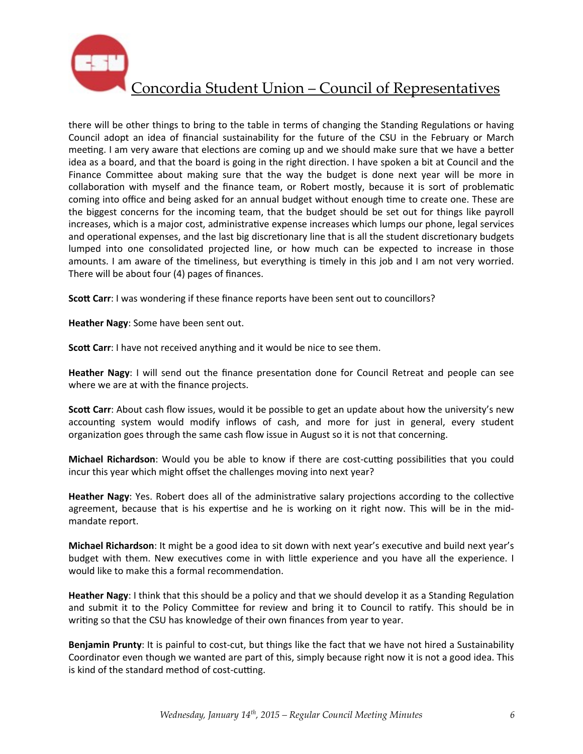

there will be other things to bring to the table in terms of changing the Standing Regulations or having Council adopt an idea of financial sustainability for the future of the CSU in the February or March meeting. I am very aware that elections are coming up and we should make sure that we have a better idea as a board, and that the board is going in the right direction. I have spoken a bit at Council and the Finance Committee about making sure that the way the budget is done next year will be more in collaboration with myself and the finance team, or Robert mostly, because it is sort of problematic coming into office and being asked for an annual budget without enough time to create one. These are the biggest concerns for the incoming team, that the budget should be set out for things like payroll increases, which is a major cost, administrative expense increases which lumps our phone, legal services and operational expenses, and the last big discretionary line that is all the student discretionary budgets lumped into one consolidated projected line, or how much can be expected to increase in those amounts. I am aware of the timeliness, but everything is timely in this job and I am not very worried. There will be about four  $(4)$  pages of finances.

**Scott Carr**: I was wondering if these finance reports have been sent out to councillors?

**Heather Nagy:** Some have been sent out.

**Scott Carr:** I have not received anything and it would be nice to see them.

**Heather Nagy**: I will send out the finance presentation done for Council Retreat and people can see where we are at with the finance projects.

**Scott Carr**: About cash flow issues, would it be possible to get an update about how the university's new accounting system would modify inflows of cash, and more for just in general, every student organization goes through the same cash flow issue in August so it is not that concerning.

**Michael Richardson**: Would you be able to know if there are cost-cutting possibilities that you could incur this year which might offset the challenges moving into next year?

Heather Nagy: Yes. Robert does all of the administrative salary projections according to the collective agreement, because that is his expertise and he is working on it right now. This will be in the midmandate report.

**Michael Richardson**: It might be a good idea to sit down with next year's executive and build next year's budget with them. New executives come in with little experience and you have all the experience. I would like to make this a formal recommendation.

**Heather Nagy**: I think that this should be a policy and that we should develop it as a Standing Regulation and submit it to the Policy Committee for review and bring it to Council to ratify. This should be in writing so that the CSU has knowledge of their own finances from year to year.

**Benjamin Prunty**: It is painful to cost-cut, but things like the fact that we have not hired a Sustainability Coordinator even though we wanted are part of this, simply because right now it is not a good idea. This is kind of the standard method of cost-cutting.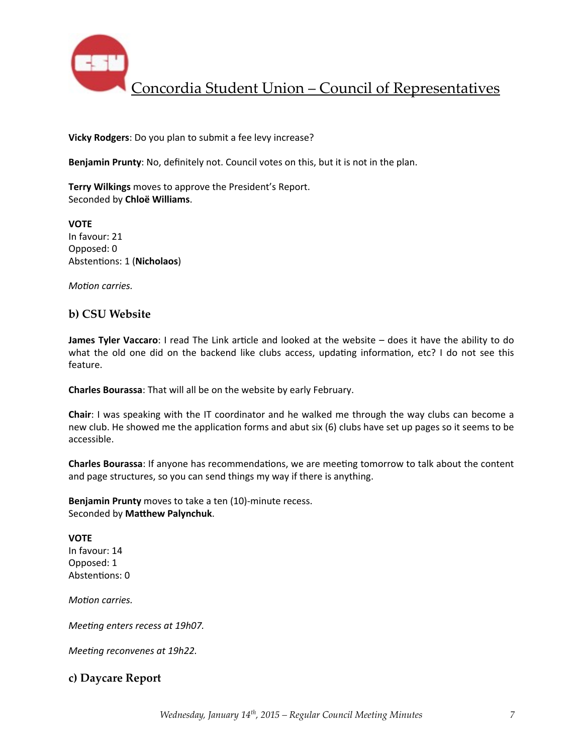

**Vicky Rodgers:** Do you plan to submit a fee levy increase?

Benjamin Prunty: No, definitely not. Council votes on this, but it is not in the plan.

**Terry Wilkings** moves to approve the President's Report. Seconded by **Chloë Williams**.

**VOTE** In favour: 21 Opposed: 0 Abstentions: 1 (Nicholaos)

*Motion carries.* 

#### **b) CSU Website**

**James Tyler Vaccaro**: I read The Link article and looked at the website – does it have the ability to do what the old one did on the backend like clubs access, updating information, etc? I do not see this feature.

**Charles Bourassa**: That will all be on the website by early February.

**Chair**: I was speaking with the IT coordinator and he walked me through the way clubs can become a new club. He showed me the application forms and abut six (6) clubs have set up pages so it seems to be accessible. 

**Charles Bourassa**: If anyone has recommendations, we are meeting tomorrow to talk about the content and page structures, so you can send things my way if there is anything.

**Benjamin Prunty** moves to take a ten (10)-minute recess. Seconded by Matthew Palynchuk.

**VOTE** In favour: 14 Opposed: 1 Abstentions: 0

*Motion carries.* 

*Meeting enters recess at 19h07.* 

*Meeting reconvenes at 19h22.* 

## **c) Daycare Report**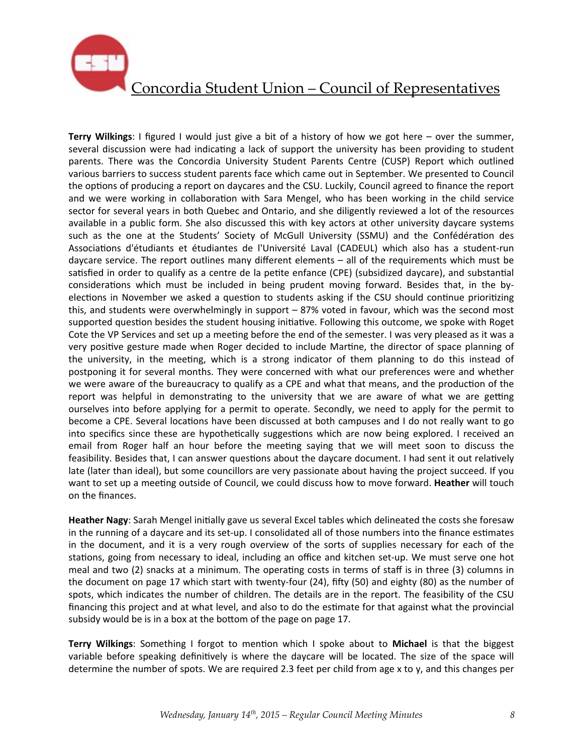

**Terry Wilkings**: I figured I would just give a bit of a history of how we got here – over the summer, several discussion were had indicating a lack of support the university has been providing to student parents. There was the Concordia University Student Parents Centre (CUSP) Report which outlined various barriers to success student parents face which came out in September. We presented to Council the options of producing a report on daycares and the CSU. Luckily, Council agreed to finance the report and we were working in collaboration with Sara Mengel, who has been working in the child service sector for several years in both Quebec and Ontario, and she diligently reviewed a lot of the resources available in a public form. She also discussed this with key actors at other university daycare systems such as the one at the Students' Society of McGull University (SSMU) and the Confédération des Associations d'étudiants et étudiantes de l'Université Laval (CADEUL) which also has a student-run daycare service. The report outlines many different elements  $-$  all of the requirements which must be satisfied in order to qualify as a centre de la petite enfance (CPE) (subsidized daycare), and substantial considerations which must be included in being prudent moving forward. Besides that, in the byelections in November we asked a question to students asking if the CSU should continue prioritizing this, and students were overwhelmingly in support – 87% voted in favour, which was the second most supported question besides the student housing initiative. Following this outcome, we spoke with Roget Cote the VP Services and set up a meeting before the end of the semester. I was very pleased as it was a very positive gesture made when Roger decided to include Martine, the director of space planning of the university, in the meeting, which is a strong indicator of them planning to do this instead of postponing it for several months. They were concerned with what our preferences were and whether we were aware of the bureaucracy to qualify as a CPE and what that means, and the production of the report was helpful in demonstrating to the university that we are aware of what we are getting ourselves into before applying for a permit to operate. Secondly, we need to apply for the permit to become a CPE. Several locations have been discussed at both campuses and I do not really want to go into specifics since these are hypothetically suggestions which are now being explored. I received an email from Roger half an hour before the meeting saying that we will meet soon to discuss the feasibility. Besides that, I can answer questions about the daycare document. I had sent it out relatively late (later than ideal), but some councillors are very passionate about having the project succeed. If you want to set up a meeting outside of Council, we could discuss how to move forward. **Heather** will touch on the finances.

Heather Nagy: Sarah Mengel initially gave us several Excel tables which delineated the costs she foresaw in the running of a daycare and its set-up. I consolidated all of those numbers into the finance estimates in the document, and it is a very rough overview of the sorts of supplies necessary for each of the stations, going from necessary to ideal, including an office and kitchen set-up. We must serve one hot meal and two (2) snacks at a minimum. The operating costs in terms of staff is in three (3) columns in the document on page 17 which start with twenty-four (24), fifty (50) and eighty (80) as the number of spots, which indicates the number of children. The details are in the report. The feasibility of the CSU financing this project and at what level, and also to do the estimate for that against what the provincial subsidy would be is in a box at the bottom of the page on page 17.

Terry Wilkings: Something I forgot to mention which I spoke about to Michael is that the biggest variable before speaking definitively is where the daycare will be located. The size of the space will determine the number of spots. We are required 2.3 feet per child from age x to y, and this changes per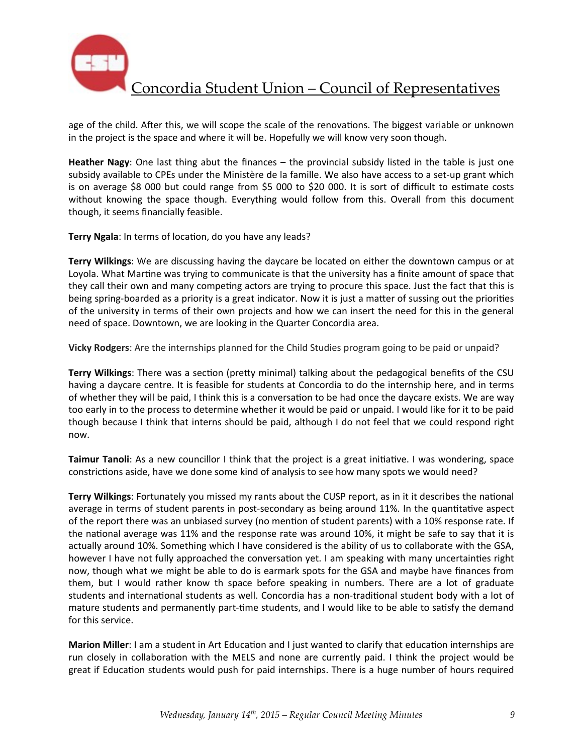

age of the child. After this, we will scope the scale of the renovations. The biggest variable or unknown in the project is the space and where it will be. Hopefully we will know very soon though.

**Heather Nagy**: One last thing abut the finances  $-$  the provincial subsidy listed in the table is just one subsidy available to CPEs under the Ministère de la famille. We also have access to a set-up grant which is on average \$8 000 but could range from \$5 000 to \$20 000. It is sort of difficult to estimate costs without knowing the space though. Everything would follow from this. Overall from this document though, it seems financially feasible.

**Terry Ngala:** In terms of location, do you have any leads?

**Terry Wilkings:** We are discussing having the daycare be located on either the downtown campus or at Loyola. What Martine was trying to communicate is that the university has a finite amount of space that they call their own and many competing actors are trying to procure this space. Just the fact that this is being spring-boarded as a priority is a great indicator. Now it is just a matter of sussing out the priorities of the university in terms of their own projects and how we can insert the need for this in the general need of space. Downtown, we are looking in the Quarter Concordia area.

**Vicky Rodgers:** Are the internships planned for the Child Studies program going to be paid or unpaid?

**Terry Wilkings**: There was a section (pretty minimal) talking about the pedagogical benefits of the CSU having a daycare centre. It is feasible for students at Concordia to do the internship here, and in terms of whether they will be paid, I think this is a conversation to be had once the daycare exists. We are way too early in to the process to determine whether it would be paid or unpaid. I would like for it to be paid though because I think that interns should be paid, although I do not feel that we could respond right now.

**Taimur Tanoli**: As a new councillor I think that the project is a great initiative. I was wondering, space constrictions aside, have we done some kind of analysis to see how many spots we would need?

**Terry Wilkings**: Fortunately you missed my rants about the CUSP report, as in it it describes the national average in terms of student parents in post-secondary as being around 11%. In the quantitative aspect of the report there was an unbiased survey (no mention of student parents) with a 10% response rate. If the national average was 11% and the response rate was around 10%, it might be safe to say that it is actually around 10%. Something which I have considered is the ability of us to collaborate with the GSA, however I have not fully approached the conversation yet. I am speaking with many uncertainties right now, though what we might be able to do is earmark spots for the GSA and maybe have finances from them, but I would rather know th space before speaking in numbers. There are a lot of graduate students and international students as well. Concordia has a non-traditional student body with a lot of mature students and permanently part-time students, and I would like to be able to satisfy the demand for this service.

**Marion Miller**: I am a student in Art Education and I just wanted to clarify that education internships are run closely in collaboration with the MELS and none are currently paid. I think the project would be great if Education students would push for paid internships. There is a huge number of hours required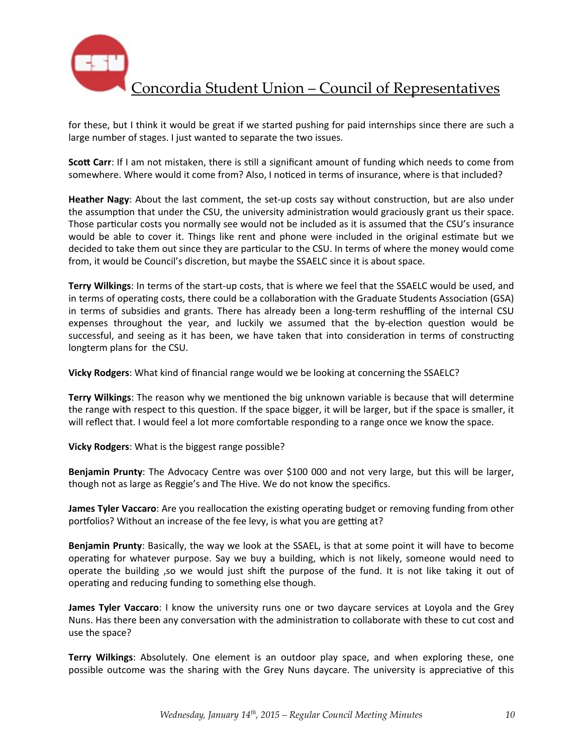

for these, but I think it would be great if we started pushing for paid internships since there are such a large number of stages. I just wanted to separate the two issues.

**Scott Carr**: If I am not mistaken, there is still a significant amount of funding which needs to come from somewhere. Where would it come from? Also, I noticed in terms of insurance, where is that included?

**Heather Nagy**: About the last comment, the set-up costs say without construction, but are also under the assumption that under the CSU, the university administration would graciously grant us their space. Those particular costs you normally see would not be included as it is assumed that the CSU's insurance would be able to cover it. Things like rent and phone were included in the original estimate but we decided to take them out since they are particular to the CSU. In terms of where the money would come from, it would be Council's discretion, but maybe the SSAELC since it is about space.

**Terry Wilkings:** In terms of the start-up costs, that is where we feel that the SSAELC would be used, and in terms of operating costs, there could be a collaboration with the Graduate Students Association (GSA) in terms of subsidies and grants. There has already been a long-term reshuffling of the internal CSU expenses throughout the year, and luckily we assumed that the by-election question would be successful, and seeing as it has been, we have taken that into consideration in terms of constructing longterm plans for the CSU.

**Vicky Rodgers:** What kind of financial range would we be looking at concerning the SSAELC?

**Terry Wilkings:** The reason why we mentioned the big unknown variable is because that will determine the range with respect to this question. If the space bigger, it will be larger, but if the space is smaller, it will reflect that. I would feel a lot more comfortable responding to a range once we know the space.

**Vicky Rodgers:** What is the biggest range possible?

**Benjamin Prunty**: The Advocacy Centre was over \$100 000 and not very large, but this will be larger, though not as large as Reggie's and The Hive. We do not know the specifics.

**James Tyler Vaccaro**: Are you reallocation the existing operating budget or removing funding from other portfolios? Without an increase of the fee levy, is what you are getting at?

**Benjamin Prunty**: Basically, the way we look at the SSAEL, is that at some point it will have to become operating for whatever purpose. Say we buy a building, which is not likely, someone would need to operate the building ,so we would just shift the purpose of the fund. It is not like taking it out of operating and reducing funding to something else though.

**James Tyler Vaccaro**: I know the university runs one or two daycare services at Loyola and the Grey Nuns. Has there been any conversation with the administration to collaborate with these to cut cost and use the space?

**Terry Wilkings:** Absolutely. One element is an outdoor play space, and when exploring these, one possible outcome was the sharing with the Grey Nuns daycare. The university is appreciative of this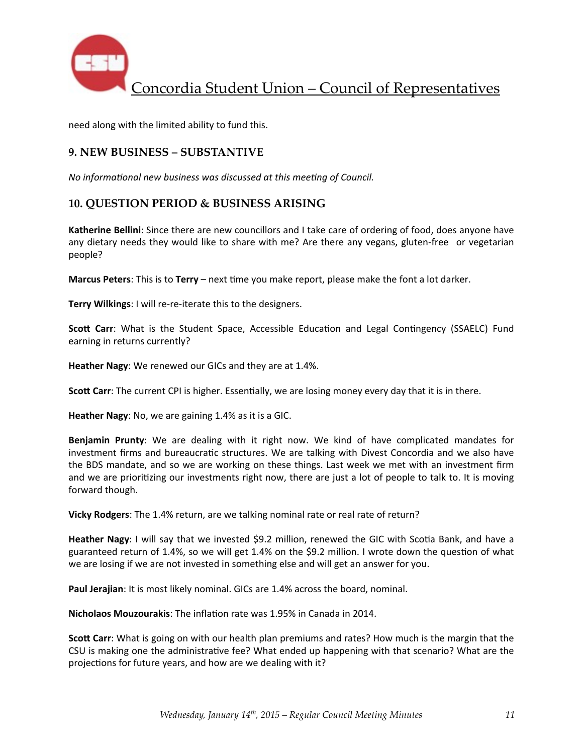

need along with the limited ability to fund this.

### **9. NEW BUSINESS – SUBSTANTIVE**

*No informational new business was discussed at this meeting of Council.* 

### **10. QUESTION PERIOD & BUSINESS ARISING**

**Katherine Bellini**: Since there are new councillors and I take care of ordering of food, does anyone have any dietary needs they would like to share with me? Are there any vegans, gluten-free or vegetarian people?

**Marcus Peters**: This is to Terry – next time you make report, please make the font a lot darker.

**Terry Wilkings:** I will re-re-iterate this to the designers.

**Scott Carr**: What is the Student Space, Accessible Education and Legal Contingency (SSAELC) Fund earning in returns currently?

**Heather Nagy:** We renewed our GICs and they are at 1.4%.

**Scott Carr**: The current CPI is higher. Essentially, we are losing money every day that it is in there.

**Heather Nagy**: No, we are gaining 1.4% as it is a GIC.

**Benjamin Prunty:** We are dealing with it right now. We kind of have complicated mandates for investment firms and bureaucratic structures. We are talking with Divest Concordia and we also have the BDS mandate, and so we are working on these things. Last week we met with an investment firm and we are prioritizing our investments right now, there are just a lot of people to talk to. It is moving forward though.

**Vicky Rodgers:** The 1.4% return, are we talking nominal rate or real rate of return?

**Heather Nagy**: I will say that we invested \$9.2 million, renewed the GIC with Scotia Bank, and have a guaranteed return of 1.4%, so we will get 1.4% on the \$9.2 million. I wrote down the question of what we are losing if we are not invested in something else and will get an answer for you.

**Paul Jerajian**: It is most likely nominal. GICs are 1.4% across the board, nominal.

**Nicholaos Mouzourakis:** The inflation rate was 1.95% in Canada in 2014.

**Scott Carr**: What is going on with our health plan premiums and rates? How much is the margin that the CSU is making one the administrative fee? What ended up happening with that scenario? What are the projections for future years, and how are we dealing with it?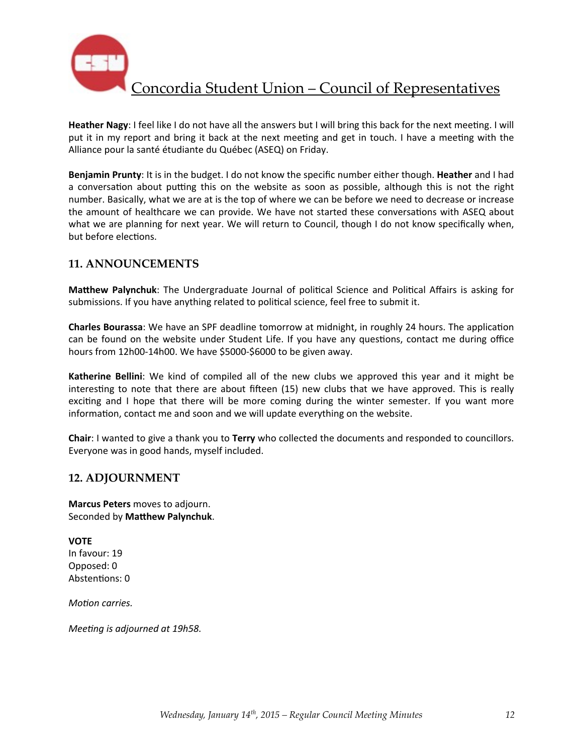

**Heather Nagy**: I feel like I do not have all the answers but I will bring this back for the next meeting. I will put it in my report and bring it back at the next meeting and get in touch. I have a meeting with the Alliance pour la santé étudiante du Québec (ASEQ) on Friday.

**Benjamin Prunty**: It is in the budget. I do not know the specific number either though. Heather and I had a conversation about putting this on the website as soon as possible, although this is not the right number. Basically, what we are at is the top of where we can be before we need to decrease or increase the amount of healthcare we can provide. We have not started these conversations with ASEQ about what we are planning for next year. We will return to Council, though I do not know specifically when, but before elections.

## **11. ANNOUNCEMENTS**

**Matthew Palynchuk**: The Undergraduate Journal of political Science and Political Affairs is asking for submissions. If you have anything related to political science, feel free to submit it.

**Charles Bourassa**: We have an SPF deadline tomorrow at midnight, in roughly 24 hours. The application can be found on the website under Student Life. If you have any questions, contact me during office hours from 12h00-14h00. We have \$5000-\$6000 to be given away.

**Katherine Bellini**: We kind of compiled all of the new clubs we approved this year and it might be interesting to note that there are about fifteen  $(15)$  new clubs that we have approved. This is really exciting and I hope that there will be more coming during the winter semester. If you want more information, contact me and soon and we will update everything on the website.

**Chair:** I wanted to give a thank you to Terry who collected the documents and responded to councillors. Everyone was in good hands, myself included.

## **12. ADJOURNMENT**

**Marcus Peters** moves to adjourn. Seconded by Matthew Palynchuk.

**VOTE** In favour: 19 Opposed: 0 Abstentions: 0

*Motion carries.* 

*Meeting is adjourned at 19h58.*